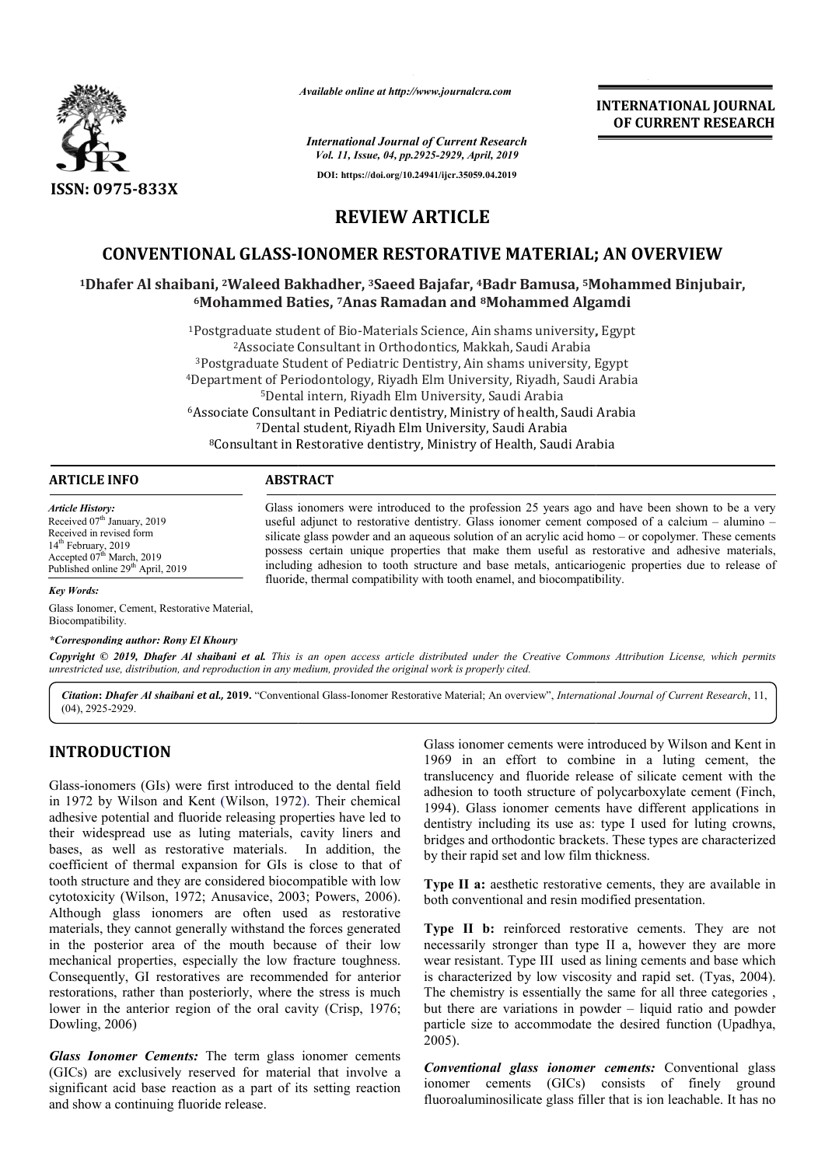

*Available online at http://www.journalcra.com*

**INTERNATIONAL JOURNAL OF CURRENT RESEARCH**

*International Journal of Current Research Vol. 11, Issue, 04, pp.2925-2929, April, 2019* **DOI: https://doi.org/10.24941/ijcr.35059.04.2019**

# **REVIEW ARTICLE**

## **CONVENTIONAL GLASS-IONOMER RESTORATIVE MATERIAL; AN OVERVIEW**

# **1Dhafer Al shaibani, <sup>2</sup>Waleed Bakhadher, <sup>3</sup>Saeed Bajafar, <sup>4</sup>Badr Bamusa, <sup>5</sup>Mohammed Binjubair, <sup>5</sup>Mohammed Baties, <sup>7</sup>Anas Ramadan and <sup>8</sup>Mohammed Algamdi 6Mohammed Baties, Mohammed 7Anas Ramadan and 8Mohammed Algamdi**

<sup>1</sup>Postgraduate student of Bio-Materials Science, Ain shams university, Egypt <sup>2</sup>Associate Consultant in Orthodontia<sup>3</sup><br><sup>3</sup>Postgraduate Student of Pediatric Dentisti<sup>4</sup>Department of Periodontology, Riyadh Elm <sup>5</sup>Dental intern, Riyadh Elm University, Saudi Arabia<br><sup>6</sup>Associate Consultant in Pediatric dentistry, Ministry of health, Saudi Arabia <sup>7</sup>Dental student, Riyadh Elm University, Saudi Arabia stgraduate student of Bio-Materials Science, Ain shams university, Eg<br>
<sup>2</sup>Associate Consultant in Orthodontics, Makkah, Saudi Arabia<br>
ostgraduate Student of Pediatric Dentistry, Ain shams university, Egy<br>
partment of Perio <sup>2</sup> Associate Consultant in Orthodontics, Makkah, Saudi Arabia of Pediatric Dentistry, Ain shams university, Egypt <sup>4</sup>Department of Periodontology, Riyadh Elm University, Riyadh, Saudi Arabia <sup>5</sup>Dental intern, Riyadh Elm University, Saudi Arabia

| <b>ARTICLE INFO</b>     | <b>ABSTRACT</b>                                                                                |
|-------------------------|------------------------------------------------------------------------------------------------|
| <b>Article History:</b> | Glass ionomers were introduced to the profession 25 years ago and have been shown to be a very |

Received 07<sup>th</sup> January, 2019 Received in revised form 14<sup>th</sup> February, 2019 Accepted 07<sup>th</sup> March, 2019 Published online 29<sup>th</sup> April, 2019

Glass ionomers were introduced to the profession 25 years ago and have been shown to be a very useful adjunct to restorative dentistry. Glass ionomer cement composed of a calcium – alumino – silicate glass powder and an aqueous solution of an acrylic acid homo – or copolymer. These cements possess certain unique properties that make them useful as restorative and adhesive materials, including adhesion to tooth structure and base metals, anticariogenic properties due to release of fluoride, thermal compatibility with tooth enamel, and biocompatibility. fluoride, thermal compatibility with tooth enamel, and biocompatibility.

*Key Words:*

Glass Ionomer, Cement, Restorative Material, Biocompatibility.

#### *\*Corresponding author: Rony El Khoury*

Copyright © 2019, Dhafer Al shaibani et al. This is an open access article distributed under the Creative Commons Attribution License, which permits *unrestricted use, distribution, and reproduction in any medium, provided the original work is properly cited.*

Citation: Dhafer Al shaibani et al., 2019. "Conventional Glass-Ionomer Restorative Material; An overview", International Journal of Current Research, 11, (04), 2925-2929.

## **INTRODUCTION**

Glass-ionomers (GIs) were first introduced to the dental field Glass-ionomers (GIs) were first introduced to the dental field<br>in 1972 by Wilson and Kent (Wilson, 1972). Their chemical adhesive potential and fluoride releasing properties have led to their widespread use as luting materials, cavity liners and bases, as well as restorative materials. In addition, the coefficient of thermal expansion for GIs is close to that of tooth structure and they are considered biocompatible with low cytotoxicity (Wilson, 1972; Anusavice, 2003; Powers, 2006). Although glass ionomers are often used as restorative materials, they cannot generally withstand the forces generated in the posterior area of the mouth because of their low mechanical properties, especially the low fracture toughness. Consequently, GI restoratives are recommended for anterior restorations, rather than posteriorly, where the stress is much lower in the anterior region of the oral cavity (Crisp, 1976; Dowling, 2006) If restoratives are recommended for anterior er than posteriorly, where the stress is much erior region of the oral cavity (Crisp, 1976; Glass ionomer cements were introduced by Wilson and Kent in<br>
1969 in an effort to combine in a luting cement, the<br>
Information of the dental field<br>
1969 in an effort to combine in a luting cement with<br>
Individue relaxions

*Glass Ionomer Cements:* The term glass ionomer cements (GICs) are exclusively reserved for material that involve a significant acid base reaction as a part of its setting reaction and show a continuing fluoride release.

Glass ionomer cements were introduced by Wilson and Kent in 1969 in an effort to combine in a luting cement, the translucency and fluoride release of silicate cement with the translucency and fluoride release of silicate cement with the adhesion to tooth structure of polycarboxylate cement (Finch, 1994). Glass ionomer cements have different applications in dentistry including its use as: type I used for luting crowns, bridges and orthodontic brackets. These types are characterized by their rapid set and low film thickness. 1994). Glass ionomer cements have different applications in dentistry including its use as: type I used for luting crowns, bridges and orthodontic brackets. These types are characterized by their rapid set and low film thi **NAL JOURNAL<br>
VAL JOURNAL**<br> **IT RESEARCH**<br> **IT RESEARCH**<br> **IT RESEARCH**<br> **IT RESEARCH**<br> **IT RESEARCH**<br> **IT RESEARCH**<br> **IT RESEARCH**<br> **INDEXEARCH**<br> **INDEXEARCH**<br> **INDEXEARCH**<br> **INDEXEARCH**<br> **INDEXEARCH**<br> **INDEXEARCH**<br> **INDE** 

**Type II a:** aesthetic restorative cements, they are available in both conventional and resin modified presentation.

**Type II b:** reinforced restorative cements. They are not necessarily stronger than type II a, however they are more wear resistant. Type III used as lining cements and base which is characterized by low viscosity and rapid set. (Tyas, 2004). The chemistry is essentially the same for all three categories , The chemistry is essentially the same for all three categories, but there are variations in powder  $-$  liquid ratio and powder particle size to accommodate the desired function (Upadhya, 2005). cements. They are not<br>however they are more<br>cements and base which<br>rapid set. (Tyas, 2004).

*Conventional glass ionomer cements:* Conventional glass ionomer cements (GICs) consists of finely ground fluoroaluminosilicate glass filler that is ion leachable. It has no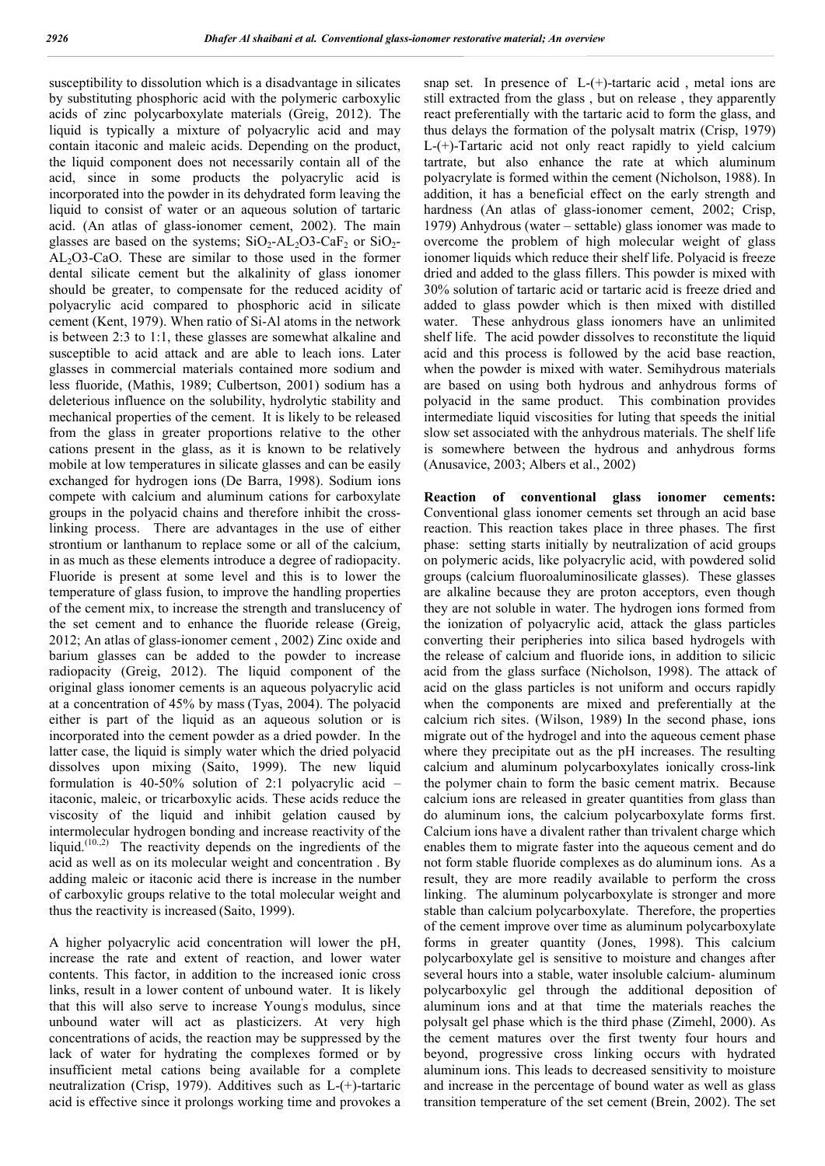susceptibility to dissolution which is a disadvantage in silicates by substituting phosphoric acid with the polymeric carboxylic acids of zinc polycarboxylate materials (Greig, 2012). The liquid is typically a mixture of polyacrylic acid and may contain itaconic and maleic acids. Depending on the product, the liquid component does not necessarily contain all of the acid, since in some products the polyacrylic acid is incorporated into the powder in its dehydrated form leaving the liquid to consist of water or an aqueous solution of tartaric acid. (An atlas of glass-ionomer cement, 2002). The main glasses are based on the systems;  $SiO_2$ -AL<sub>2</sub>O3-CaF<sub>2</sub> or  $SiO_2$ -AL2O3-CaO. These are similar to those used in the former dental silicate cement but the alkalinity of glass ionomer should be greater, to compensate for the reduced acidity of polyacrylic acid compared to phosphoric acid in silicate cement (Kent, 1979). When ratio of Si-Al atoms in the network is between 2:3 to 1:1, these glasses are somewhat alkaline and susceptible to acid attack and are able to leach ions. Later glasses in commercial materials contained more sodium and less fluoride, (Mathis, 1989; Culbertson, 2001) sodium has a deleterious influence on the solubility, hydrolytic stability and mechanical properties of the cement. It is likely to be released from the glass in greater proportions relative to the other cations present in the glass, as it is known to be relatively mobile at low temperatures in silicate glasses and can be easily exchanged for hydrogen ions (De Barra, 1998). Sodium ions compete with calcium and aluminum cations for carboxylate groups in the polyacid chains and therefore inhibit the crosslinking process. There are advantages in the use of either strontium or lanthanum to replace some or all of the calcium, in as much as these elements introduce a degree of radiopacity. Fluoride is present at some level and this is to lower the temperature of glass fusion, to improve the handling properties of the cement mix, to increase the strength and translucency of the set cement and to enhance the fluoride release (Greig, 2012; An atlas of glass-ionomer cement , 2002) Zinc oxide and barium glasses can be added to the powder to increase radiopacity (Greig, 2012). The liquid component of the original glass ionomer cements is an aqueous polyacrylic acid at a concentration of 45% by mass (Tyas, 2004). The polyacid either is part of the liquid as an aqueous solution or is incorporated into the cement powder as a dried powder. In the latter case, the liquid is simply water which the dried polyacid dissolves upon mixing (Saito, 1999). The new liquid formulation is 40-50% solution of 2:1 polyacrylic acid – itaconic, maleic, or tricarboxylic acids. These acids reduce the viscosity of the liquid and inhibit gelation caused by intermolecular hydrogen bonding and increase reactivity of the liquid.<sup>(10.,2)</sup> The reactivity depends on the ingredients of the acid as well as on its molecular weight and concentration . By adding maleic or itaconic acid there is increase in the number of carboxylic groups relative to the total molecular weight and thus the reactivity is increased (Saito, 1999).

A higher polyacrylic acid concentration will lower the pH, increase the rate and extent of reaction, and lower water contents. This factor, in addition to the increased ionic cross links, result in a lower content of unbound water. It is likely that this will also serve to increase Young's modulus, since unbound water will act as plasticizers. At very high concentrations of acids, the reaction may be suppressed by the lack of water for hydrating the complexes formed or by insufficient metal cations being available for a complete neutralization (Crisp, 1979). Additives such as L-(+)-tartaric acid is effective since it prolongs working time and provokes a

snap set. In presence of L-(+)-tartaric acid , metal ions are still extracted from the glass , but on release , they apparently react preferentially with the tartaric acid to form the glass, and thus delays the formation of the polysalt matrix (Crisp, 1979) L-(+)-Tartaric acid not only react rapidly to yield calcium tartrate, but also enhance the rate at which aluminum polyacrylate is formed within the cement (Nicholson, 1988). In addition, it has a beneficial effect on the early strength and hardness (An atlas of glass-ionomer cement, 2002; Crisp, 1979) Anhydrous (water – settable) glass ionomer was made to overcome the problem of high molecular weight of glass ionomer liquids which reduce their shelf life. Polyacid is freeze dried and added to the glass fillers. This powder is mixed with 30% solution of tartaric acid or tartaric acid is freeze dried and added to glass powder which is then mixed with distilled water. These anhydrous glass ionomers have an unlimited shelf life. The acid powder dissolves to reconstitute the liquid acid and this process is followed by the acid base reaction, when the powder is mixed with water. Semihydrous materials are based on using both hydrous and anhydrous forms of polyacid in the same product. This combination provides intermediate liquid viscosities for luting that speeds the initial slow set associated with the anhydrous materials. The shelf life is somewhere between the hydrous and anhydrous forms (Anusavice, 2003; Albers et al., 2002)

**Reaction of conventional glass ionomer cements:**  Conventional glass ionomer cements set through an acid base reaction. This reaction takes place in three phases. The first phase: setting starts initially by neutralization of acid groups on polymeric acids, like polyacrylic acid, with powdered solid groups (calcium fluoroaluminosilicate glasses). These glasses are alkaline because they are proton acceptors, even though they are not soluble in water. The hydrogen ions formed from the ionization of polyacrylic acid, attack the glass particles converting their peripheries into silica based hydrogels with the release of calcium and fluoride ions, in addition to silicic acid from the glass surface (Nicholson, 1998). The attack of acid on the glass particles is not uniform and occurs rapidly when the components are mixed and preferentially at the calcium rich sites. (Wilson, 1989) In the second phase, ions migrate out of the hydrogel and into the aqueous cement phase where they precipitate out as the pH increases. The resulting calcium and aluminum polycarboxylates ionically cross-link the polymer chain to form the basic cement matrix. Because calcium ions are released in greater quantities from glass than do aluminum ions, the calcium polycarboxylate forms first. Calcium ions have a divalent rather than trivalent charge which enables them to migrate faster into the aqueous cement and do not form stable fluoride complexes as do aluminum ions. As a result, they are more readily available to perform the cross linking. The aluminum polycarboxylate is stronger and more stable than calcium polycarboxylate. Therefore, the properties of the cement improve over time as aluminum polycarboxylate forms in greater quantity (Jones, 1998). This calcium polycarboxylate gel is sensitive to moisture and changes after several hours into a stable, water insoluble calcium- aluminum polycarboxylic gel through the additional deposition of aluminum ions and at that time the materials reaches the polysalt gel phase which is the third phase (Zimehl, 2000). As the cement matures over the first twenty four hours and beyond, progressive cross linking occurs with hydrated aluminum ions. This leads to decreased sensitivity to moisture and increase in the percentage of bound water as well as glass transition temperature of the set cement (Brein, 2002). The set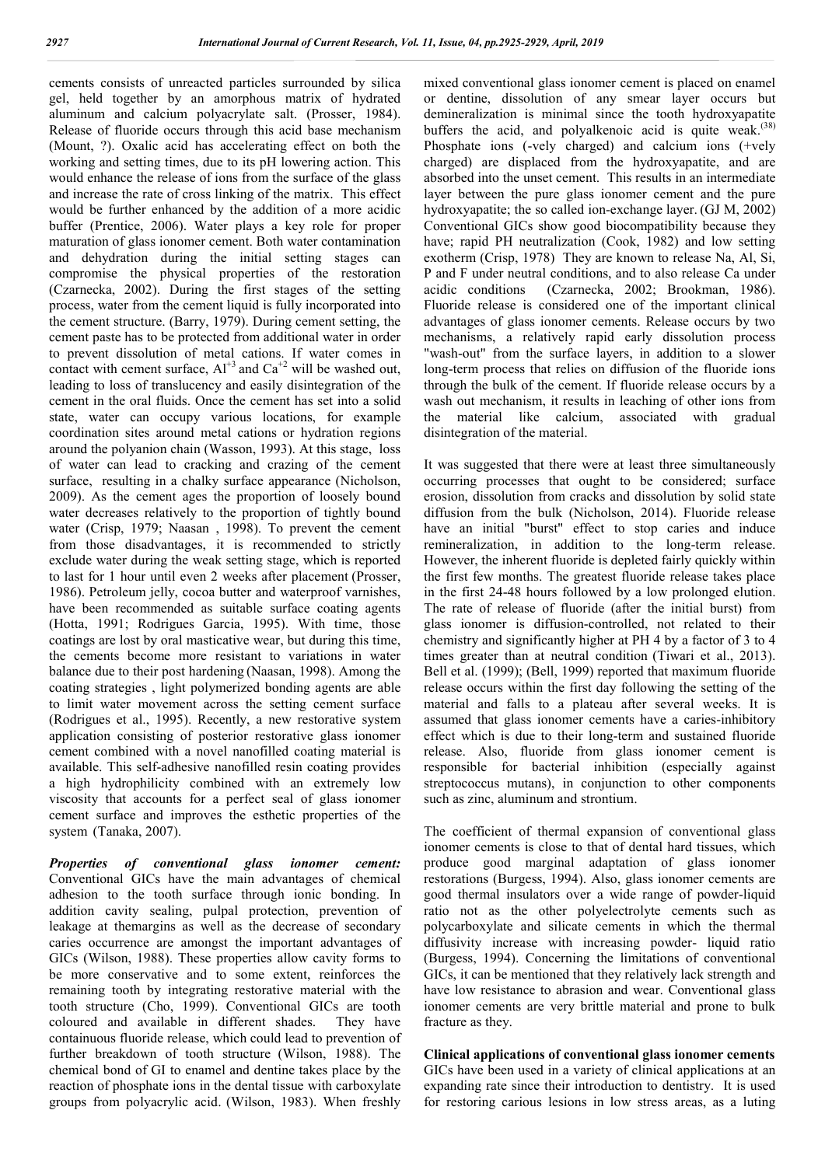cements consists of unreacted particles surrounded by silica gel, held together by an amorphous matrix of hydrated aluminum and calcium polyacrylate salt. (Prosser, 1984). Release of fluoride occurs through this acid base mechanism (Mount, ?). Oxalic acid has accelerating effect on both the working and setting times, due to its pH lowering action. This would enhance the release of ions from the surface of the glass and increase the rate of cross linking of the matrix. This effect would be further enhanced by the addition of a more acidic buffer (Prentice, 2006). Water plays a key role for proper maturation of glass ionomer cement. Both water contamination and dehydration during the initial setting stages can compromise the physical properties of the restoration (Czarnecka, 2002). During the first stages of the setting process, water from the cement liquid is fully incorporated into the cement structure. (Barry, 1979). During cement setting, the cement paste has to be protected from additional water in order to prevent dissolution of metal cations. If water comes in contact with cement surface,  $Al^{+3}$  and  $Ca^{+2}$  will be washed out, leading to loss of translucency and easily disintegration of the cement in the oral fluids. Once the cement has set into a solid state, water can occupy various locations, for example coordination sites around metal cations or hydration regions around the polyanion chain (Wasson, 1993). At this stage, loss of water can lead to cracking and crazing of the cement surface, resulting in a chalky surface appearance (Nicholson, 2009). As the cement ages the proportion of loosely bound water decreases relatively to the proportion of tightly bound water (Crisp, 1979; Naasan , 1998). To prevent the cement from those disadvantages, it is recommended to strictly exclude water during the weak setting stage, which is reported to last for 1 hour until even 2 weeks after placement (Prosser, 1986). Petroleum jelly, cocoa butter and waterproof varnishes, have been recommended as suitable surface coating agents (Hotta, 1991; Rodrigues Garcia, 1995). With time, those coatings are lost by oral masticative wear, but during this time, the cements become more resistant to variations in water balance due to their post hardening (Naasan, 1998). Among the coating strategies , light polymerized bonding agents are able to limit water movement across the setting cement surface (Rodrigues et al., 1995). Recently, a new restorative system application consisting of posterior restorative glass ionomer cement combined with a novel nanofilled coating material is available. This self-adhesive nanofilled resin coating provides a high hydrophilicity combined with an extremely low viscosity that accounts for a perfect seal of glass ionomer cement surface and improves the esthetic properties of the system (Tanaka, 2007).

*Properties of conventional glass ionomer cement:* Conventional GICs have the main advantages of chemical adhesion to the tooth surface through ionic bonding. In addition cavity sealing, pulpal protection, prevention of leakage at themargins as well as the decrease of secondary caries occurrence are amongst the important advantages of GICs (Wilson, 1988). These properties allow cavity forms to be more conservative and to some extent, reinforces the remaining tooth by integrating restorative material with the tooth structure (Cho, 1999). Conventional GICs are tooth coloured and available in different shades. They have containuous fluoride release, which could lead to prevention of further breakdown of tooth structure (Wilson, 1988). The chemical bond of GI to enamel and dentine takes place by the reaction of phosphate ions in the dental tissue with carboxylate groups from polyacrylic acid. (Wilson, 1983). When freshly

mixed conventional glass ionomer cement is placed on enamel or dentine, dissolution of any smear layer occurs but demineralization is minimal since the tooth hydroxyapatite buffers the acid, and polyalkenoic acid is quite weak.<sup> $(38)$ </sup> Phosphate ions (-vely charged) and calcium ions (+vely charged) are displaced from the hydroxyapatite, and are absorbed into the unset cement. This results in an intermediate layer between the pure glass ionomer cement and the pure hydroxyapatite; the so called ion-exchange layer. (GJ M, 2002) Conventional GICs show good biocompatibility because they have; rapid PH neutralization (Cook, 1982) and low setting exotherm (Crisp, 1978) They are known to release Na, Al, Si, P and F under neutral conditions, and to also release Ca under acidic conditions (Czarnecka, 2002; Brookman, 1986). Fluoride release is considered one of the important clinical advantages of glass ionomer cements. Release occurs by two mechanisms, a relatively rapid early dissolution process "wash-out" from the surface layers, in addition to a slower long-term process that relies on diffusion of the fluoride ions through the bulk of the cement. If fluoride release occurs by a wash out mechanism, it results in leaching of other ions from the material like calcium, associated with gradual disintegration of the material.

It was suggested that there were at least three simultaneously occurring processes that ought to be considered; surface erosion, dissolution from cracks and dissolution by solid state diffusion from the bulk (Nicholson, 2014). Fluoride release have an initial "burst" effect to stop caries and induce remineralization, in addition to the long-term release. However, the inherent fluoride is depleted fairly quickly within the first few months. The greatest fluoride release takes place in the first 24-48 hours followed by a low prolonged elution. The rate of release of fluoride (after the initial burst) from glass ionomer is diffusion-controlled, not related to their chemistry and significantly higher at PH 4 by a factor of 3 to 4 times greater than at neutral condition (Tiwari et al., 2013). Bell et al. (1999); (Bell, 1999) reported that maximum fluoride release occurs within the first day following the setting of the material and falls to a plateau after several weeks. It is assumed that glass ionomer cements have a caries-inhibitory effect which is due to their long-term and sustained fluoride release. Also, fluoride from glass ionomer cement is responsible for bacterial inhibition (especially against streptococcus mutans), in conjunction to other components such as zinc, aluminum and strontium.

The coefficient of thermal expansion of conventional glass ionomer cements is close to that of dental hard tissues, which produce good marginal adaptation of glass ionomer restorations (Burgess, 1994). Also, glass ionomer cements are good thermal insulators over a wide range of powder-liquid ratio not as the other polyelectrolyte cements such as polycarboxylate and silicate cements in which the thermal diffusivity increase with increasing powder- liquid ratio (Burgess, 1994). Concerning the limitations of conventional GICs, it can be mentioned that they relatively lack strength and have low resistance to abrasion and wear. Conventional glass ionomer cements are very brittle material and prone to bulk fracture as they.

**Clinical applications of conventional glass ionomer cements** GICs have been used in a variety of clinical applications at an expanding rate since their introduction to dentistry. It is used for restoring carious lesions in low stress areas, as a luting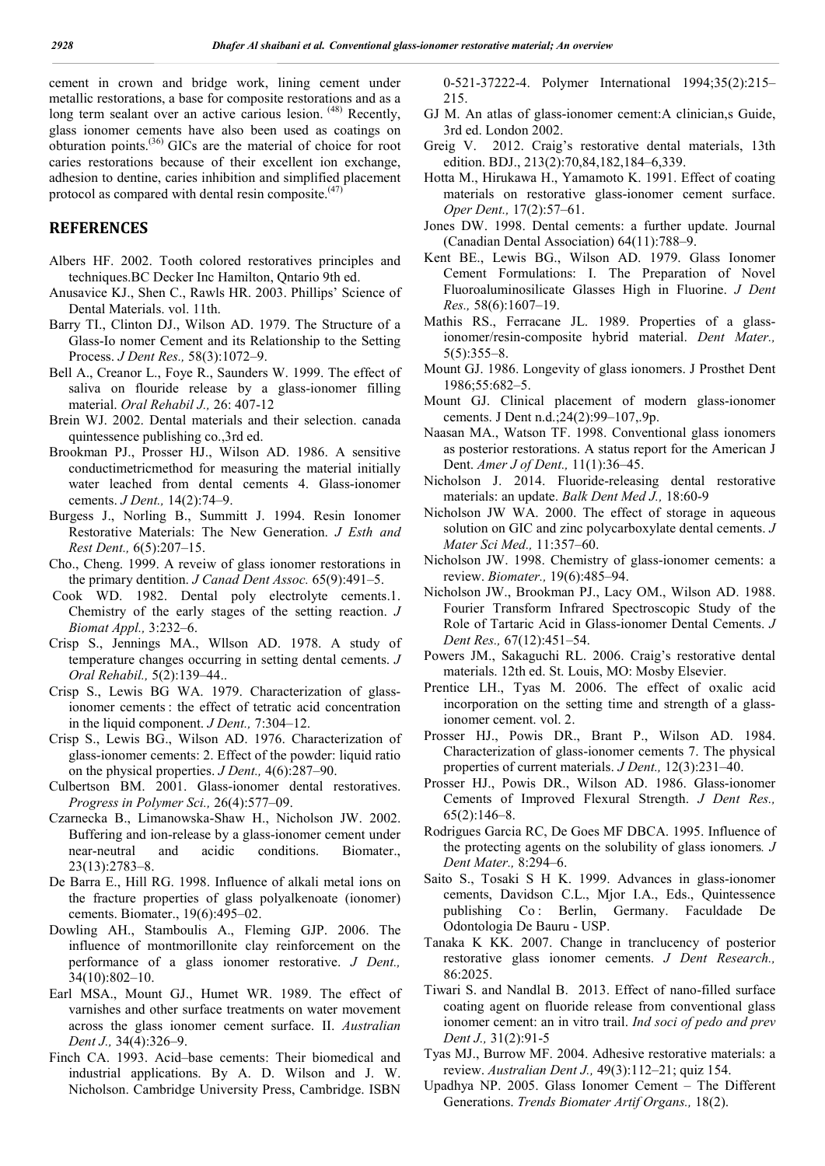cement in crown and bridge work, lining cement under metallic restorations, a base for composite restorations and as a long term sealant over an active carious lesion. <sup>(48)</sup> Recently, glass ionomer cements have also been used as coatings on  $o$ bturation points.<sup>(36)</sup> GICs are the material of choice for root caries restorations because of their excellent ion exchange, adhesion to dentine, caries inhibition and simplified placement protocol as compared with dental resin composite.<sup>(47</sup>)

### **REFERENCES**

- Albers HF. 2002. Tooth colored restoratives principles and techniques.BC Decker Inc Hamilton, Qntario 9th ed.
- Anusavice KJ., Shen C., Rawls HR. 2003. Phillips' Science of Dental Materials. vol. 11th.
- Barry TI., Clinton DJ., Wilson AD. 1979. The Structure of a Glass-Io nomer Cement and its Relationship to the Setting Process. *J Dent Res.,* 58(3):1072–9.
- Bell A., Creanor L., Foye R., Saunders W. 1999. The effect of saliva on flouride release by a glass-ionomer filling material. *Oral Rehabil J.,* 26: 407-12
- Brein WJ. 2002. Dental materials and their selection. canada quintessence publishing co.,3rd ed.
- Brookman PJ., Prosser HJ., Wilson AD. 1986. A sensitive conductimetricmethod for measuring the material initially water leached from dental cements 4. Glass-ionomer cements. *J Dent.,* 14(2):74–9.
- Burgess J., Norling B., Summitt J. 1994. Resin Ionomer Restorative Materials: The New Generation. *J Esth and Rest Dent.,* 6(5):207–15.
- Cho., Cheng. 1999. A reveiw of glass ionomer restorations in the primary dentition. *J Canad Dent Assoc.* 65(9):491–5.
- Cook WD. 1982. Dental poly electrolyte cements.1. Chemistry of the early stages of the setting reaction. *J Biomat Appl.,* 3:232–6.
- Crisp S., Jennings MA., Wllson AD. 1978. A study of temperature changes occurring in setting dental cements. *J Oral Rehabil.,* 5(2):139–44..
- Crisp S., Lewis BG WA. 1979. Characterization of glassionomer cements : the effect of tetratic acid concentration in the liquid component. *J Dent.,* 7:304–12.
- Crisp S., Lewis BG., Wilson AD. 1976. Characterization of glass-ionomer cements: 2. Effect of the powder: liquid ratio on the physical properties. *J Dent.,* 4(6):287–90.
- Culbertson BM. 2001. Glass-ionomer dental restoratives. *Progress in Polymer Sci.,* 26(4):577–09.
- Czarnecka B., Limanowska-Shaw H., Nicholson JW. 2002. Buffering and ion-release by a glass-ionomer cement under near-neutral and acidic conditions. Biomater., 23(13):2783–8.
- De Barra E., Hill RG. 1998. Influence of alkali metal ions on the fracture properties of glass polyalkenoate (ionomer) cements. Biomater., 19(6):495–02.
- Dowling AH., Stamboulis A., Fleming GJP. 2006. The influence of montmorillonite clay reinforcement on the performance of a glass ionomer restorative. *J Dent.,* 34(10):802–10.
- Earl MSA., Mount GJ., Humet WR. 1989. The effect of varnishes and other surface treatments on water movement across the glass ionomer cement surface. II. *Australian Dent J.,* 34(4):326–9.
- Finch CA. 1993. Acid–base cements: Their biomedical and industrial applications. By A. D. Wilson and J. W. Nicholson. Cambridge University Press, Cambridge. ISBN

0-521-37222-4. Polymer International 1994;35(2):215– 215.

- GJ M. An atlas of glass-ionomer cement:A clinician,s Guide, 3rd ed. London 2002.
- Greig V. 2012. Craig's restorative dental materials, 13th edition. BDJ., 213(2):70,84,182,184–6,339.
- Hotta M., Hirukawa H., Yamamoto K. 1991. Effect of coating materials on restorative glass-ionomer cement surface. *Oper Dent.,* 17(2):57–61.
- Jones DW. 1998. Dental cements: a further update. Journal (Canadian Dental Association) 64(11):788–9.
- Kent BE., Lewis BG., Wilson AD. 1979. Glass Ionomer Cement Formulations: I. The Preparation of Novel Fluoroaluminosilicate Glasses High in Fluorine. *J Dent Res.,* 58(6):1607–19.
- Mathis RS., Ferracane JL. 1989. Properties of a glassionomer/resin-composite hybrid material. *Dent Mater.,*  $5(5):355-8.$
- Mount GJ. 1986. Longevity of glass ionomers. J Prosthet Dent 1986;55:682–5.
- Mount GJ. Clinical placement of modern glass-ionomer cements. J Dent n.d.;24(2):99–107,.9p.
- Naasan MA., Watson TF. 1998. Conventional glass ionomers as posterior restorations. A status report for the American J Dent. *Amer J of Dent.,* 11(1):36–45.
- Nicholson J. 2014. Fluoride-releasing dental restorative materials: an update. *Balk Dent Med J.,* 18:60-9
- Nicholson JW WA. 2000. The effect of storage in aqueous solution on GIC and zinc polycarboxylate dental cements. *J Mater Sci Med.,* 11:357–60.
- Nicholson JW. 1998. Chemistry of glass-ionomer cements: a review. *Biomater.,* 19(6):485–94.
- Nicholson JW., Brookman PJ., Lacy OM., Wilson AD. 1988. Fourier Transform Infrared Spectroscopic Study of the Role of Tartaric Acid in Glass-ionomer Dental Cements. *J Dent Res.,* 67(12):451–54.
- Powers JM., Sakaguchi RL. 2006. Craig's restorative dental materials. 12th ed. St. Louis, MO: Mosby Elsevier.
- Prentice LH., Tyas M. 2006. The effect of oxalic acid incorporation on the setting time and strength of a glassionomer cement. vol. 2.
- Prosser HJ., Powis DR., Brant P., Wilson AD. 1984. Characterization of glass-ionomer cements 7. The physical properties of current materials. *J Dent.,* 12(3):231–40.
- Prosser HJ., Powis DR., Wilson AD. 1986. Glass-ionomer Cements of Improved Flexural Strength. *J Dent Res.,* 65(2):146–8.
- Rodrigues Garcia RC, De Goes MF DBCA. 1995. Influence of the protecting agents on the solubility of glass ionomers*. J Dent Mater.,* 8:294–6.
- Saito S., Tosaki S H K. 1999. Advances in glass-ionomer cements, Davidson C.L., Mjor I.A., Eds., Quintessence publishing Co : Berlin, Germany. Faculdade De Odontologia De Bauru - USP.
- Tanaka K KK. 2007. Change in tranclucency of posterior restorative glass ionomer cements. *J Dent Research.,* 86:2025.
- Tiwari S. and Nandlal B. 2013. Effect of nano-filled surface coating agent on fluoride release from conventional glass ionomer cement: an in vitro trail. *Ind soci of pedo and prev Dent J.,* 31(2):91-5
- Tyas MJ., Burrow MF. 2004. Adhesive restorative materials: a review. *Australian Dent J.,* 49(3):112–21; quiz 154.
- Upadhya NP. 2005. Glass Ionomer Cement The Different Generations. *Trends Biomater Artif Organs.,* 18(2).